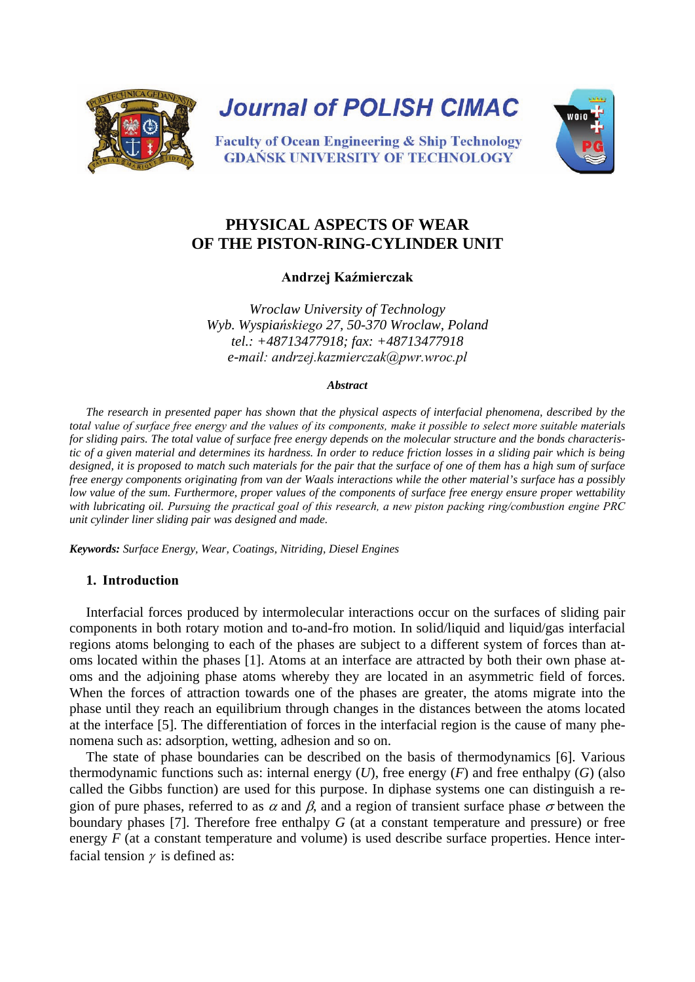

**Journal of POLISH CIMAC** 



**Faculty of Ocean Engineering & Ship Technology GDANSK UNIVERSITY OF TECHNOLOGY** 

# **PHYSICAL ASPECTS OF WEAR OF THE PISTON-RING-CYLINDER UNIT**

**Andrzej Kaźmierczak**

*Wroclaw University of Technology Wyb. Wyspiańskiego 27, 50-370 Wroclaw, Poland tel.: +48713477918; fax: +48713477918 e-mail: andrzej.kazmierczak@pwr.wroc.pl*

#### *Abstract*

*The research in presented paper has shown that the physical aspects of interfacial phenomena, described by the total value of surface free energy and the values of its components, make it possible to select more suitable materials for sliding pairs. The total value of surface free energy depends on the molecular structure and the bonds characteristic of a given material and determines its hardness. In order to reduce friction losses in a sliding pair which is being designed, it is proposed to match such materials for the pair that the surface of one of them has a high sum of surface free energy components originating from van der Waals interactions while the other material's surface has a possibly low value of the sum. Furthermore, proper values of the components of surface free energy ensure proper wettability with lubricating oil. Pursuing the practical goal of this research, a new piston packing ring/combustion engine PRC unit cylinder liner sliding pair was designed and made.* 

*Keywords: Surface Energy, Wear, Coatings, Nitriding, Diesel Engines*

## **1. Introduction**

Interfacial forces produced by intermolecular interactions occur on the surfaces of sliding pair components in both rotary motion and to-and-fro motion. In solid/liquid and liquid/gas interfacial regions atoms belonging to each of the phases are subject to a different system of forces than atoms located within the phases [1]. Atoms at an interface are attracted by both their own phase atoms and the adjoining phase atoms whereby they are located in an asymmetric field of forces. When the forces of attraction towards one of the phases are greater, the atoms migrate into the phase until they reach an equilibrium through changes in the distances between the atoms located at the interface [5]. The differentiation of forces in the interfacial region is the cause of many phenomena such as: adsorption, wetting, adhesion and so on.

The state of phase boundaries can be described on the basis of thermodynamics [6]. Various thermodynamic functions such as: internal energy  $(U)$ , free energy  $(F)$  and free enthalpy  $(G)$  (also called the Gibbs function) are used for this purpose. In diphase systems one can distinguish a region of pure phases, referred to as  $\alpha$  and  $\beta$ , and a region of transient surface phase  $\sigma$  between the boundary phases [7]. Therefore free enthalpy *G* (at a constant temperature and pressure) or free energy *F* (at a constant temperature and volume) is used describe surface properties. Hence interfacial tension  $\gamma$  is defined as: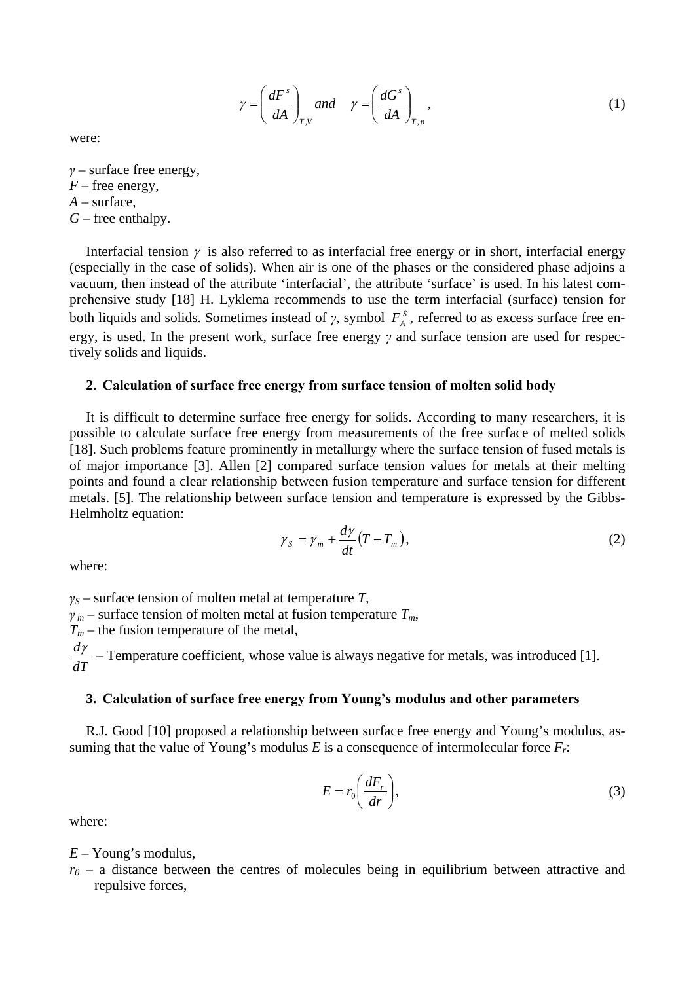$$
\gamma = \left(\frac{dF^s}{dA}\right)_{T,V} \text{ and } \gamma = \left(\frac{dG^s}{dA}\right)_{T,p},\tag{1}
$$

were:

*γ* – surface free energy,  $F$  – free energy, *A* – surface,

- 
- *G* free enthalpy.

Interfacial tension  $\gamma$  is also referred to as interfacial free energy or in short, interfacial energy (especially in the case of solids). When air is one of the phases or the considered phase adjoins a vacuum, then instead of the attribute 'interfacial', the attribute 'surface' is used. In his latest comprehensive study [18] H. Lyklema recommends to use the term interfacial (surface) tension for both liquids and solids. Sometimes instead of  $\gamma$ , symbol  $F_A^S$ , referred to as excess surface free energy, is used. In the present work, surface free energy *γ* and surface tension are used for respectively solids and liquids.

#### **2. Calculation of surface free energy from surface tension of molten solid body**

It is difficult to determine surface free energy for solids. According to many researchers, it is possible to calculate surface free energy from measurements of the free surface of melted solids [18]. Such problems feature prominently in metallurgy where the surface tension of fused metals is of major importance [3]. Allen [2] compared surface tension values for metals at their melting points and found a clear relationship between fusion temperature and surface tension for different metals. [5]. The relationship between surface tension and temperature is expressed by the Gibbs-Helmholtz equation:

$$
\gamma_{s} = \gamma_{m} + \frac{d\gamma}{dt} (T - T_{m}), \qquad (2)
$$

where:

*γS* – surface tension of molten metal at temperature *T,*   $\gamma_m$  – surface tension of molten metal at fusion temperature  $T_m$ ,

 $T_m$  – the fusion temperature of the metal,

*dT*  $\frac{dy}{dx}$  – Temperature coefficient, whose value is always negative for metals, was introduced [1].

#### **3. Calculation of surface free energy from Young's modulus and other parameters**

R.J. Good [10] proposed a relationship between surface free energy and Young's modulus, assuming that the value of Young's modulus *E* is a consequence of intermolecular force  $F_r$ :

$$
E = r_0 \left(\frac{dF_r}{dr}\right),\tag{3}
$$

where:

*E* – Young's modulus,

 $r_0$  – a distance between the centres of molecules being in equilibrium between attractive and repulsive forces,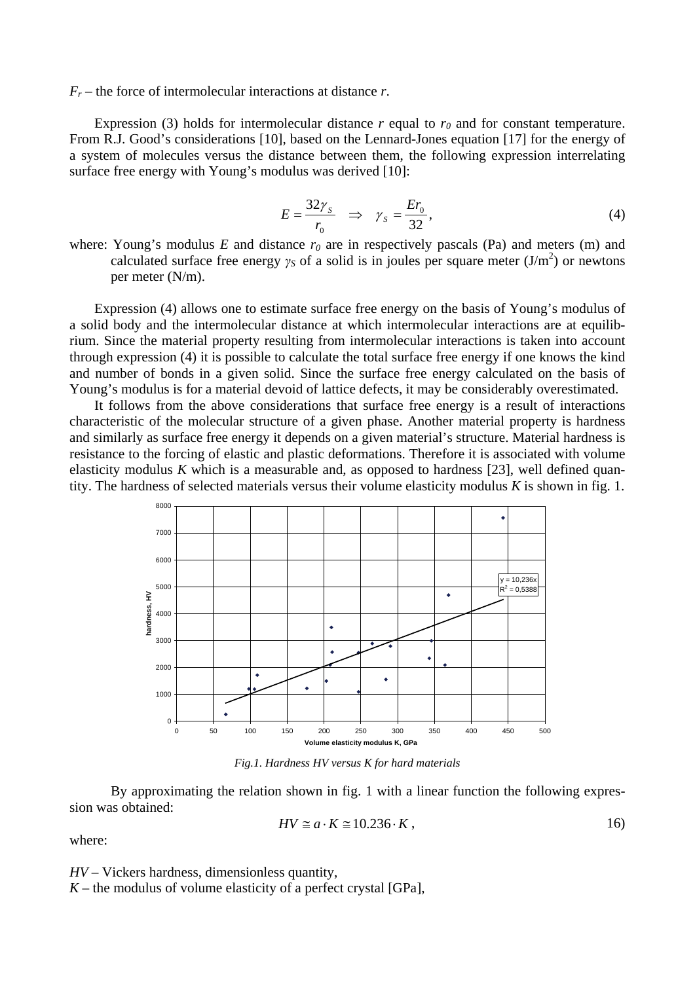$F_r$  – the force of intermolecular interactions at distance *r*.

Expression (3) holds for intermolecular distance  $r$  equal to  $r_0$  and for constant temperature. From R.J. Good's considerations [10], based on the Lennard-Jones equation [17] for the energy of a system of molecules versus the distance between them, the following expression interrelating surface free energy with Young's modulus was derived [10]:

$$
E = \frac{32\gamma_s}{r_0} \Rightarrow \gamma_s = \frac{Er_0}{32},\tag{4}
$$

where: Young's modulus  $E$  and distance  $r_0$  are in respectively pascals (Pa) and meters (m) and calculated surface free energy  $\gamma_S$  of a solid is in joules per square meter (J/m<sup>2</sup>) or newtons per meter (N/m).

Expression (4) allows one to estimate surface free energy on the basis of Young's modulus of a solid body and the intermolecular distance at which intermolecular interactions are at equilibrium. Since the material property resulting from intermolecular interactions is taken into account through expression (4) it is possible to calculate the total surface free energy if one knows the kind and number of bonds in a given solid. Since the surface free energy calculated on the basis of Young's modulus is for a material devoid of lattice defects, it may be considerably overestimated.

It follows from the above considerations that surface free energy is a result of interactions characteristic of the molecular structure of a given phase. Another material property is hardness and similarly as surface free energy it depends on a given material's structure. Material hardness is resistance to the forcing of elastic and plastic deformations. Therefore it is associated with volume elasticity modulus  $K$  which is a measurable and, as opposed to hardness [23], well defined quantity. The hardness of selected materials versus their volume elasticity modulus *K* is shown in fig. 1.



*Fig.1. Hardness HV versus K for hard materials*

By approximating the relation shown in fig. 1 with a linear function the following expression was obtained:

$$
HV \cong a \cdot K \cong 10.236 \cdot K\,,\tag{16}
$$

where:

*HV* – Vickers hardness, dimensionless quantity,

 $K$  – the modulus of volume elasticity of a perfect crystal [GPa],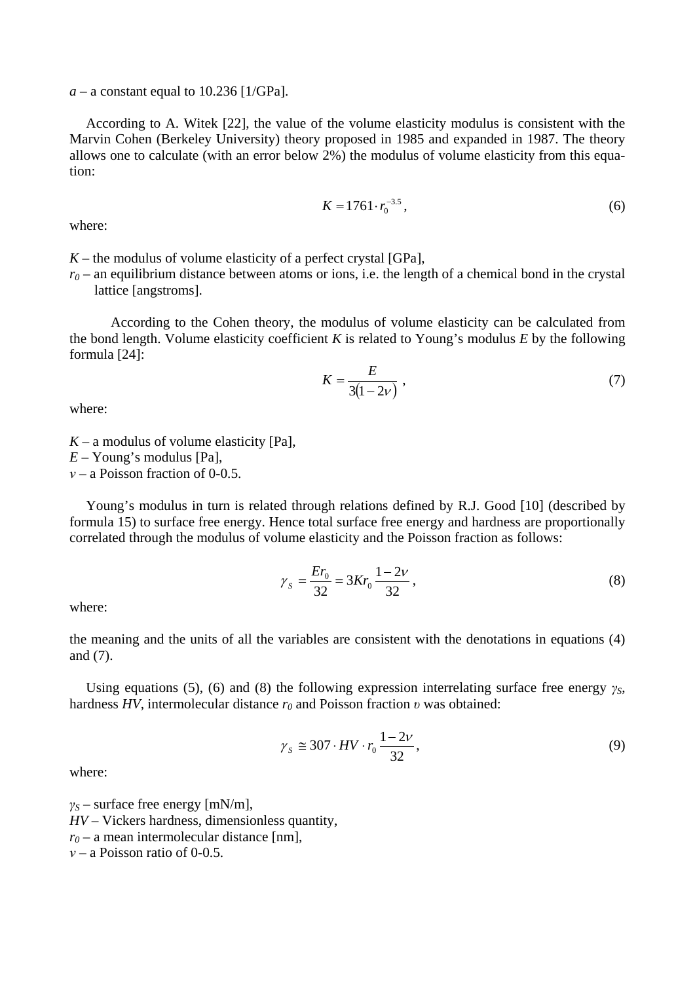$a - a$  constant equal to 10.236 [1/GPa].

According to A. Witek [22], the value of the volume elasticity modulus is consistent with the Marvin Cohen (Berkeley University) theory proposed in 1985 and expanded in 1987. The theory allows one to calculate (with an error below 2%) the modulus of volume elasticity from this equation:

$$
K = 1761 \cdot r_0^{-3.5},\tag{6}
$$

where:

 $K$  – the modulus of volume elasticity of a perfect crystal [GPa],

 $r_0$  – an equilibrium distance between atoms or ions, i.e. the length of a chemical bond in the crystal lattice [angstroms].

According to the Cohen theory, the modulus of volume elasticity can be calculated from the bond length. Volume elasticity coefficient *K* is related to Young's modulus *E* by the following formula [24]:

$$
K = \frac{E}{3(1 - 2v)}\tag{7}
$$

where:

 $K - a$  modulus of volume elasticity [Pa], *E* – Young's modulus [Pa],

*ν* – a Poisson fraction of 0-0.5.

Young's modulus in turn is related through relations defined by R.J. Good [10] (described by formula 15) to surface free energy. Hence total surface free energy and hardness are proportionally correlated through the modulus of volume elasticity and the Poisson fraction as follows:

$$
\gamma_s = \frac{Er_0}{32} = 3Kr_0 \frac{1 - 2\nu}{32},\tag{8}
$$

where:

the meaning and the units of all the variables are consistent with the denotations in equations (4) and (7).

Using equations (5), (6) and (8) the following expression interrelating surface free energy *γS*, hardness *HV*, intermolecular distance *r0* and Poisson fraction *υ* was obtained:

$$
\gamma_s \cong 307 \cdot HV \cdot r_0 \frac{1 - 2\nu}{32},\tag{9}
$$

where:

*γS* – surface free energy [mN/m], *HV* – Vickers hardness, dimensionless quantity,  $r_0$  – a mean intermolecular distance [nm], *ν* – a Poisson ratio of 0-0.5.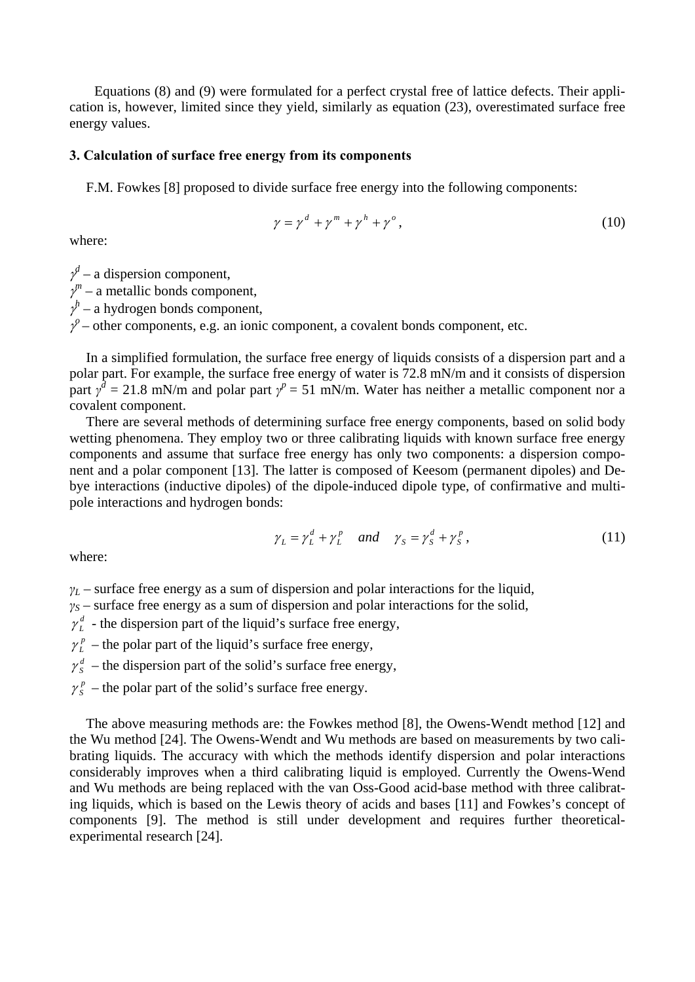Equations (8) and (9) were formulated for a perfect crystal free of lattice defects. Their application is, however, limited since they yield, similarly as equation (23), overestimated surface free energy values.

#### **3. Calculation of surface free energy from its components**

F.M. Fowkes [8] proposed to divide surface free energy into the following components:

$$
\gamma = \gamma^d + \gamma^m + \gamma^h + \gamma^o, \qquad (10)
$$

where:

 $\gamma^d$  – a dispersion component,  $\gamma^m$  – a metallic bonds component,  $\gamma^h$  – a hydrogen bonds component,  $\gamma^{\rho}$  – other components, e.g. an ionic component, a covalent bonds component, etc.

In a simplified formulation, the surface free energy of liquids consists of a dispersion part and a polar part. For example, the surface free energy of water is 72.8 mN/m and it consists of dispersion part  $\gamma^d = 21.8$  mN/m and polar part  $\gamma^p = 51$  mN/m. Water has neither a metallic component nor a covalent component.

There are several methods of determining surface free energy components, based on solid body wetting phenomena. They employ two or three calibrating liquids with known surface free energy components and assume that surface free energy has only two components: a dispersion component and a polar component [13]. The latter is composed of Keesom (permanent dipoles) and Debye interactions (inductive dipoles) of the dipole-induced dipole type, of confirmative and multipole interactions and hydrogen bonds:

$$
\gamma_L = \gamma_L^d + \gamma_L^p \quad \text{and} \quad \gamma_S = \gamma_S^d + \gamma_S^p \,, \tag{11}
$$

where:

 $\gamma_L$  – surface free energy as a sum of dispersion and polar interactions for the liquid,

 $y_S$  – surface free energy as a sum of dispersion and polar interactions for the solid,

 $\gamma_L^d$  - the dispersion part of the liquid's surface free energy,

 $\gamma_L^p$  – the polar part of the liquid's surface free energy,

 $\gamma_s^d$  – the dispersion part of the solid's surface free energy,

 $\gamma_s^p$  – the polar part of the solid's surface free energy.

The above measuring methods are: the Fowkes method [8], the Owens-Wendt method [12] and the Wu method [24]. The Owens-Wendt and Wu methods are based on measurements by two calibrating liquids. The accuracy with which the methods identify dispersion and polar interactions considerably improves when a third calibrating liquid is employed. Currently the Owens-Wend and Wu methods are being replaced with the van Oss-Good acid-base method with three calibrating liquids, which is based on the Lewis theory of acids and bases [11] and Fowkes's concept of components [9]. The method is still under development and requires further theoreticalexperimental research [24].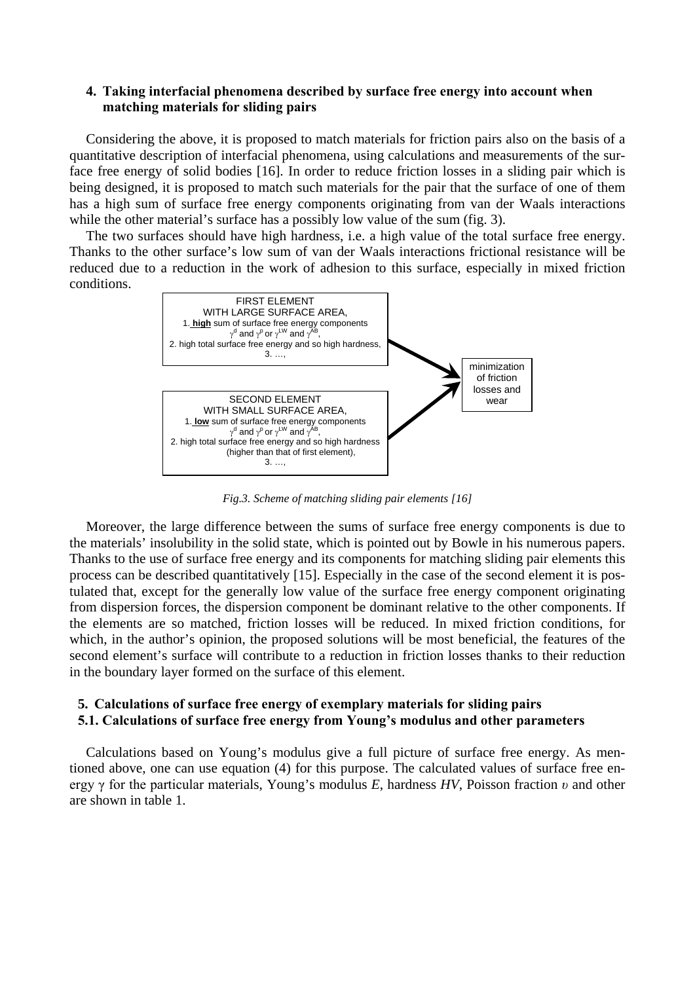# **4. Taking interfacial phenomena described by surface free energy into account when matching materials for sliding pairs**

Considering the above, it is proposed to match materials for friction pairs also on the basis of a quantitative description of interfacial phenomena, using calculations and measurements of the surface free energy of solid bodies [16]. In order to reduce friction losses in a sliding pair which is being designed, it is proposed to match such materials for the pair that the surface of one of them has a high sum of surface free energy components originating from van der Waals interactions while the other material's surface has a possibly low value of the sum (fig. 3).

The two surfaces should have high hardness, i.e. a high value of the total surface free energy. Thanks to the other surface's low sum of van der Waals interactions frictional resistance will be reduced due to a reduction in the work of adhesion to this surface, especially in mixed friction conditions.



*Fig.3. Scheme of matching sliding pair elements [16]*

Moreover, the large difference between the sums of surface free energy components is due to the materials' insolubility in the solid state, which is pointed out by Bowle in his numerous papers. Thanks to the use of surface free energy and its components for matching sliding pair elements this process can be described quantitatively [15]. Especially in the case of the second element it is postulated that, except for the generally low value of the surface free energy component originating from dispersion forces, the dispersion component be dominant relative to the other components. If the elements are so matched, friction losses will be reduced. In mixed friction conditions, for which, in the author's opinion, the proposed solutions will be most beneficial, the features of the second element's surface will contribute to a reduction in friction losses thanks to their reduction in the boundary layer formed on the surface of this element.

# **5. Calculations of surface free energy of exemplary materials for sliding pairs 5.1. Calculations of surface free energy from Young's modulus and other parameters**

Calculations based on Young's modulus give a full picture of surface free energy. As mentioned above, one can use equation (4) for this purpose. The calculated values of surface free energy γ for the particular materials, Young's modulus *E*, hardness *HV*, Poisson fraction *υ* and other are shown in table 1.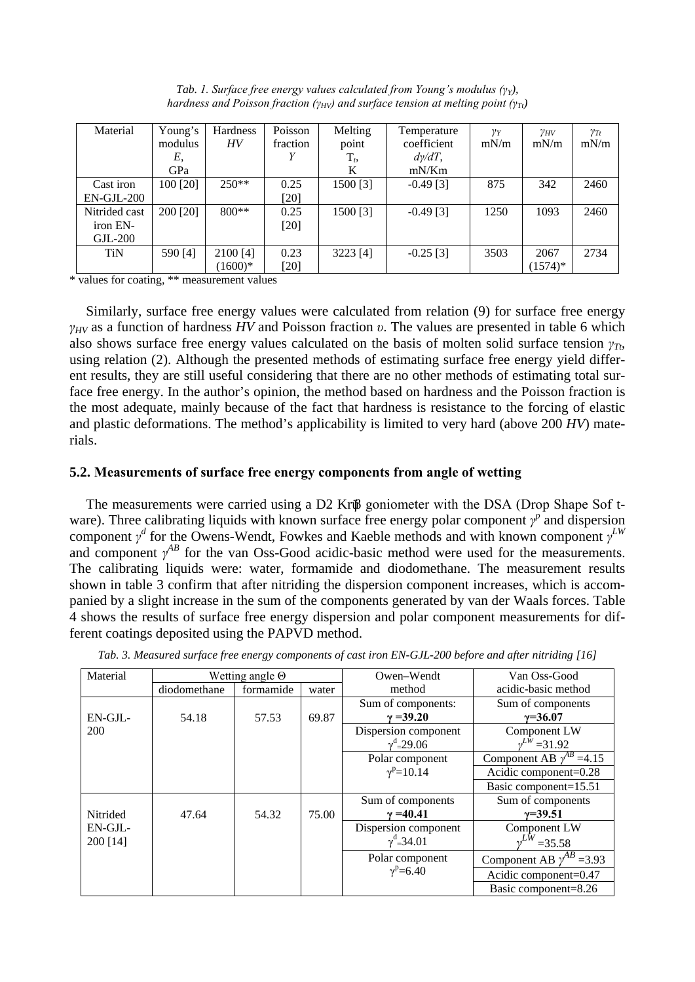| Material      | Young's  | Hardness  | Poisson  | Melting  | Temperature    | $\gamma_Y$ | $\gamma_{HV}$ | $\gamma_{Tt}$ |
|---------------|----------|-----------|----------|----------|----------------|------------|---------------|---------------|
|               | modulus  | HV        | fraction | point    | coefficient    | mN/m       | mN/m          | mN/m          |
|               | Ε,       |           |          | $T_t$    | $d\gamma/dT$ , |            |               |               |
|               | GPa      |           |          | K        | mN/Km          |            |               |               |
| Cast iron     | 100 [20] | $250**$   | 0.25     | 1500 [3] | $-0.49$ [3]    | 875        | 342           | 2460          |
| $EN-GJL-200$  |          |           | $[20]$   |          |                |            |               |               |
| Nitrided cast | 200 [20] | $800**$   | 0.25     | 1500 [3] | $-0.49$ [3]    | 1250       | 1093          | 2460          |
| iron EN-      |          |           | [20]     |          |                |            |               |               |
| $GL-200$      |          |           |          |          |                |            |               |               |
| <b>TiN</b>    | 590 [4]  | 2100 [4]  | 0.23     | 3223 [4] | $-0.25$ [3]    | 3503       | 2067          | 2734          |
|               |          | $(1600)*$ | $[20]$   |          |                |            | $(1574)*$     |               |

*Tab. 1. Surface free energy values calculated from Young's modulus (γY), hardness and Poisson fraction (γ<sub>HV</sub>) and surface tension at melting point (γ<sub>Tt</sub>)* 

\* values for coating, \*\* measurement values

Similarly, surface free energy values were calculated from relation (9) for surface free energy *γHV* as a function of hardness *HV* and Poisson fraction *υ*. The values are presented in table 6 which also shows surface free energy values calculated on the basis of molten solid surface tension *γTt*, using relation (2). Although the presented methods of estimating surface free energy yield different results, they are still useful considering that there are no other methods of estimating total surface free energy. In the author's opinion, the method based on hardness and the Poisson fraction is the most adequate, mainly because of the fact that hardness is resistance to the forcing of elastic and plastic deformations. The method's applicability is limited to very hard (above 200 *HV*) materials.

### **5.2. Measurements of surface free energy components from angle of wetting**

The measurements were carried using a D2 Krüβ goniometer with the DSA (Drop Shape Sof tware). Three calibrating liquids with known surface free energy polar component  $\gamma^p$  and dispersion component  $\gamma^d$  for the Owens-Wendt, Fowkes and Kaeble methods and with known component  $\gamma^{LW}$ and component  $\gamma^{AB}$  for the van Oss-Good acidic-basic method were used for the measurements. The calibrating liquids were: water, formamide and diodomethane. The measurement results shown in table 3 confirm that after nitriding the dispersion component increases, which is accompanied by a slight increase in the sum of the components generated by van der Waals forces. Table 4 shows the results of surface free energy dispersion and polar component measurements for different coatings deposited using the PAPVD method.

| Material   |              | Wetting angle $\Theta$ |       | Owen–Wendt               | Van Oss-Good                          |
|------------|--------------|------------------------|-------|--------------------------|---------------------------------------|
|            | diodomethane | formamide              | water | method                   | acidic-basic method                   |
|            |              |                        |       | Sum of components:       | Sum of components                     |
| $EN-GJL$ - | 54.18        | 57.53                  | 69.87 | $\gamma = 39.20$         | $y=36.07$                             |
| 200        |              |                        |       | Dispersion component     | Component LW                          |
|            |              |                        |       | $\gamma^d$ -29.06        | $v^{LW}$ = 31.92                      |
|            |              |                        |       | Polar component          | Component AB $\gamma^{AB}$ =4.15      |
|            |              |                        |       | $\gamma^{\rm p} = 10.14$ | Acidic component=0.28                 |
|            |              |                        |       |                          | Basic component=15.51                 |
|            |              |                        |       | Sum of components        | Sum of components                     |
| Nitrided   | 47.64        | 54.32                  | 75.00 | $\gamma = 40.41$         | $y=39.51$                             |
| $EN-GJL$ - |              |                        |       | Dispersion component     | Component LW                          |
| 200 [14]   |              |                        |       | $\gamma^d$ 34.01         | $v^{LW} = 35.58$                      |
|            |              |                        |       | Polar component          | Component AB $\gamma^{AB}$<br>$=3.93$ |
|            |              |                        |       | $\gamma^{\rm p} = 6.40$  | Acidic component=0.47                 |
|            |              |                        |       |                          | Basic component=8.26                  |

*Tab. 3. Measured surface free energy components of cast iron EN-GJL-200 before and after nitriding [16]*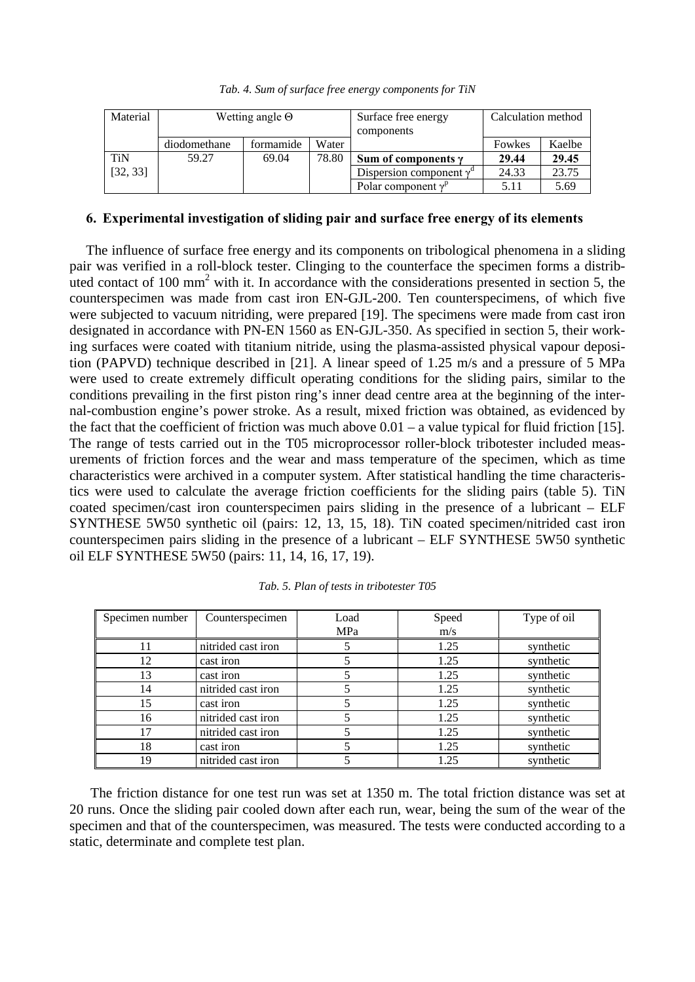|  |  | Tab. 4. Sum of surface free energy components for TiN |  |
|--|--|-------------------------------------------------------|--|
|  |  |                                                       |  |

| Material   | Wetting angle $\Theta$ |           |       | Surface free energy<br>components      | Calculation method |        |
|------------|------------------------|-----------|-------|----------------------------------------|--------------------|--------|
|            | diodomethane           | formamide | Water |                                        | Fowkes             | Kaelbe |
| <b>TiN</b> | 59.27                  | 69.04     | 78.80 | Sum of components $\gamma$             | 29.44              | 29.45  |
| [32, 33]   |                        |           |       | Dispersion component $\gamma^{\alpha}$ | 24.33              | 23.75  |
|            |                        |           |       | Polar component $v^p$                  | 5.11               | 5.69   |

#### **6. Experimental investigation of sliding pair and surface free energy of its elements**

The influence of surface free energy and its components on tribological phenomena in a sliding pair was verified in a roll-block tester. Clinging to the counterface the specimen forms a distributed contact of 100  $\text{mm}^2$  with it. In accordance with the considerations presented in section 5, the counterspecimen was made from cast iron EN-GJL-200. Ten counterspecimens, of which five were subjected to vacuum nitriding, were prepared [19]. The specimens were made from cast iron designated in accordance with PN-EN 1560 as EN-GJL-350. As specified in section 5, their working surfaces were coated with titanium nitride, using the plasma-assisted physical vapour deposition (PAPVD) technique described in [21]. A linear speed of 1.25 m/s and a pressure of 5 MPa were used to create extremely difficult operating conditions for the sliding pairs, similar to the conditions prevailing in the first piston ring's inner dead centre area at the beginning of the internal-combustion engine's power stroke. As a result, mixed friction was obtained, as evidenced by the fact that the coefficient of friction was much above  $0.01 - a$  value typical for fluid friction [15]. The range of tests carried out in the T05 microprocessor roller-block tribotester included measurements of friction forces and the wear and mass temperature of the specimen, which as time characteristics were archived in a computer system. After statistical handling the time characteristics were used to calculate the average friction coefficients for the sliding pairs (table 5). TiN coated specimen/cast iron counterspecimen pairs sliding in the presence of a lubricant – ELF SYNTHESE 5W50 synthetic oil (pairs: 12, 13, 15, 18). TiN coated specimen/nitrided cast iron counterspecimen pairs sliding in the presence of a lubricant – ELF SYNTHESE 5W50 synthetic oil ELF SYNTHESE 5W50 (pairs: 11, 14, 16, 17, 19).

| Specimen number | Counterspecimen    | Load | Speed | Type of oil |
|-----------------|--------------------|------|-------|-------------|
|                 |                    | MPa  | m/s   |             |
|                 | nitrided cast iron |      | 1.25  | synthetic   |
| 12              | cast iron          |      | 1.25  | synthetic   |
| 13              | cast iron          |      | 1.25  | synthetic   |
| 14              | nitrided cast iron |      | 1.25  | synthetic   |
| 15              | cast iron          |      | 1.25  | synthetic   |
| 16              | nitrided cast iron |      | 1.25  | synthetic   |
| 17              | nitrided cast iron |      | 1.25  | synthetic   |
| 18              | cast iron          |      | 1.25  | synthetic   |
| 19              | nitrided cast iron |      | 1.25  | synthetic   |

*Tab. 5. Plan of tests in tribotester T05*

The friction distance for one test run was set at 1350 m. The total friction distance was set at 20 runs. Once the sliding pair cooled down after each run, wear, being the sum of the wear of the specimen and that of the counterspecimen, was measured. The tests were conducted according to a static, determinate and complete test plan.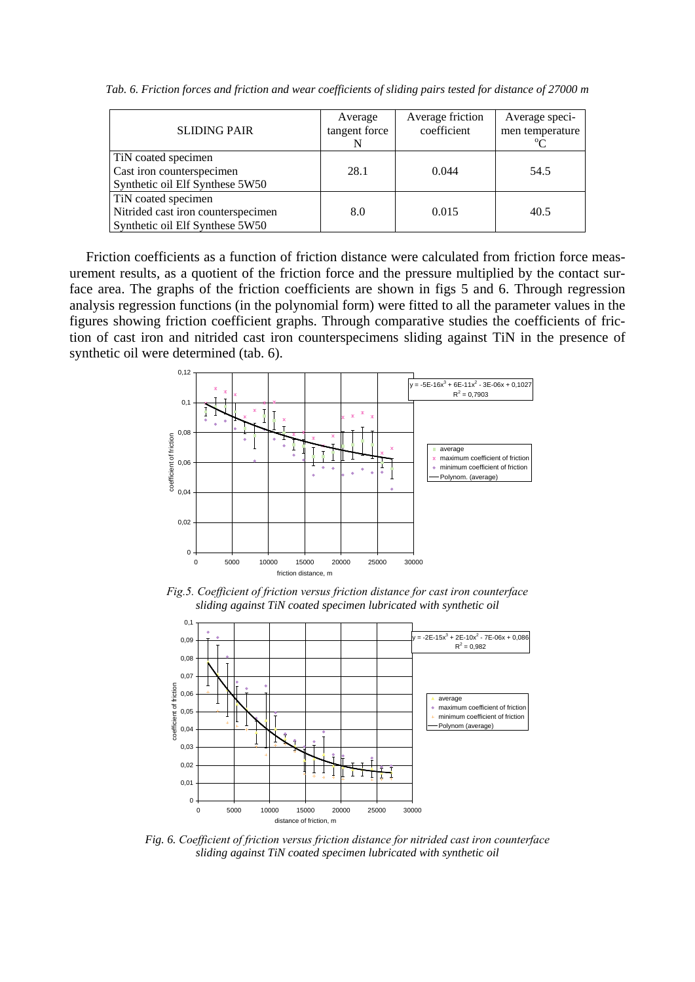*Tab. 6. Friction forces and friction and wear coefficients of sliding pairs tested for distance of 27000 m*

| <b>SLIDING PAIR</b>                                                                          | Average<br>tangent force | Average friction<br>coefficient | Average speci-<br>men temperature<br>$\alpha$ |
|----------------------------------------------------------------------------------------------|--------------------------|---------------------------------|-----------------------------------------------|
| TiN coated specimen<br>Cast iron counterspecimen<br>Synthetic oil Elf Synthese 5W50          | 28.1                     | 0.044                           |                                               |
| TiN coated specimen<br>Nitrided cast iron counterspecimen<br>Synthetic oil Elf Synthese 5W50 | 8.0                      | 0.015                           | 40.5                                          |

Friction coefficients as a function of friction distance were calculated from friction force measurement results, as a quotient of the friction force and the pressure multiplied by the contact surface area. The graphs of the friction coefficients are shown in figs 5 and 6. Through regression analysis regression functions (in the polynomial form) were fitted to all the parameter values in the figures showing friction coefficient graphs. Through comparative studies the coefficients of friction of cast iron and nitrided cast iron counterspecimens sliding against TiN in the presence of synthetic oil were determined (tab. 6).



*Fig.5. Coefficient of friction versus friction distance for cast iron counterface sliding against TiN coated specimen lubricated with synthetic oil*



*Fig. 6. Coefficient of friction versus friction distance for nitrided cast iron counterface sliding against TiN coated specimen lubricated with synthetic oil*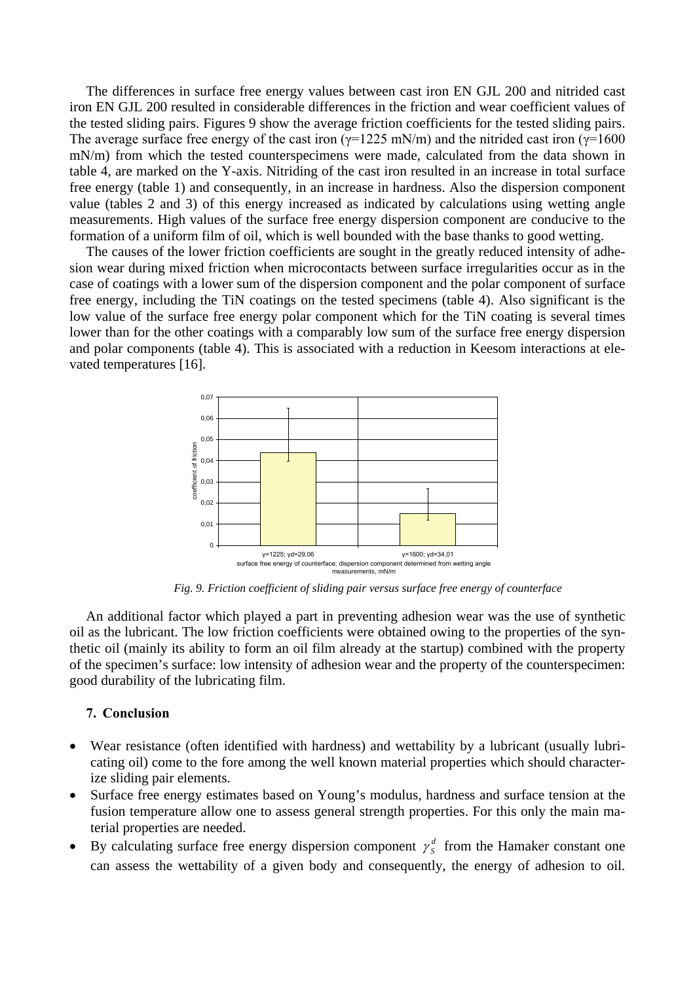The differences in surface free energy values between cast iron EN GJL 200 and nitrided cast iron EN GJL 200 resulted in considerable differences in the friction and wear coefficient values of the tested sliding pairs. Figures 9 show the average friction coefficients for the tested sliding pairs. The average surface free energy of the cast iron ( $\gamma$ =1225 mN/m) and the nitrided cast iron ( $\gamma$ =1600 mN/m) from which the tested counterspecimens were made, calculated from the data shown in table 4, are marked on the Y-axis. Nitriding of the cast iron resulted in an increase in total surface free energy (table 1) and consequently, in an increase in hardness. Also the dispersion component value (tables 2 and 3) of this energy increased as indicated by calculations using wetting angle measurements. High values of the surface free energy dispersion component are conducive to the formation of a uniform film of oil, which is well bounded with the base thanks to good wetting.

The causes of the lower friction coefficients are sought in the greatly reduced intensity of adhesion wear during mixed friction when microcontacts between surface irregularities occur as in the case of coatings with a lower sum of the dispersion component and the polar component of surface free energy, including the TiN coatings on the tested specimens (table 4). Also significant is the low value of the surface free energy polar component which for the TiN coating is several times lower than for the other coatings with a comparably low sum of the surface free energy dispersion and polar components (table 4). This is associated with a reduction in Keesom interactions at elevated temperatures [16].



*Fig. 9. Friction coefficient of sliding pair versus surface free energy of counterface*

An additional factor which played a part in preventing adhesion wear was the use of synthetic oil as the lubricant. The low friction coefficients were obtained owing to the properties of the synthetic oil (mainly its ability to form an oil film already at the startup) combined with the property of the specimen's surface: low intensity of adhesion wear and the property of the counterspecimen: good durability of the lubricating film.

## **7. Conclusion**

- Wear resistance (often identified with hardness) and wettability by a lubricant (usually lubricating oil) come to the fore among the well known material properties which should characterize sliding pair elements.
- Surface free energy estimates based on Young's modulus, hardness and surface tension at the fusion temperature allow one to assess general strength properties. For this only the main material properties are needed.
- By calculating surface free energy dispersion component  $\gamma_s^d$  from the Hamaker constant one can assess the wettability of a given body and consequently, the energy of adhesion to oil.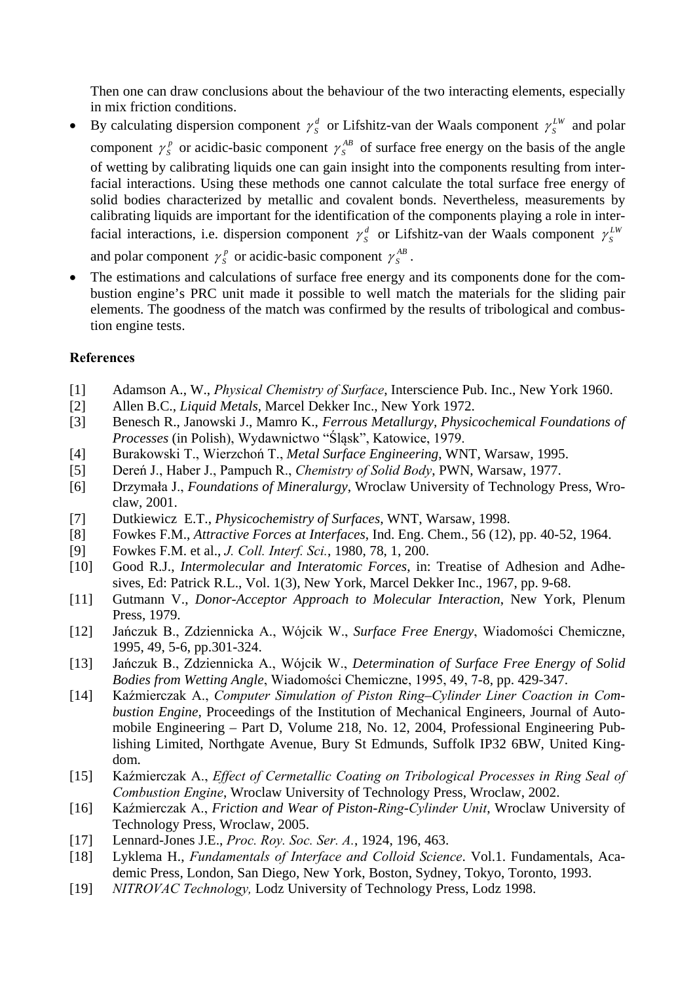Then one can draw conclusions about the behaviour of the two interacting elements, especially in mix friction conditions.

- By calculating dispersion component  $\gamma_s^d$  or Lifshitz-van der Waals component  $\gamma_s^{LW}$  and polar component  $\gamma_s^p$  or acidic-basic component  $\gamma_s^{AB}$  of surface free energy on the basis of the angle of wetting by calibrating liquids one can gain insight into the components resulting from interfacial interactions. Using these methods one cannot calculate the total surface free energy of solid bodies characterized by metallic and covalent bonds. Nevertheless, measurements by calibrating liquids are important for the identification of the components playing a role in interfacial interactions, i.e. dispersion component  $\gamma_s^d$  or Lifshitz-van der Waals component  $\gamma_s^{LW}$ and polar component  $\gamma_s^p$  or acidic-basic component  $\gamma_s^{AB}$ .
- The estimations and calculations of surface free energy and its components done for the combustion engine's PRC unit made it possible to well match the materials for the sliding pair elements. The goodness of the match was confirmed by the results of tribological and combustion engine tests.

# **References**

- [1] Adamson A., W., *Physical Chemistry of Surface*, Interscience Pub. Inc., New York 1960.
- [2] Allen B.C., *Liquid Metals*, Marcel Dekker Inc., New York 1972.
- [3] Benesch R., Janowski J., Mamro K., *Ferrous Metallurgy, Physicochemical Foundations of Processes* (in Polish), Wydawnictwo "Śląsk", Katowice, 1979.
- [4] Burakowski T., Wierzchoń T., *Metal Surface Engineering*, WNT, Warsaw, 1995.
- [5] Dereń J., Haber J., Pampuch R., *Chemistry of Solid Body*, PWN, Warsaw, 1977.
- [6] Drzymała J., *Foundations of Mineralurgy*, Wroclaw University of Technology Press, Wroclaw, 2001.
- [7] Dutkiewicz E.T., *Physicochemistry of Surfaces*, WNT, Warsaw, 1998.
- [8] Fowkes F.M., *Attractive Forces at Interfaces*, Ind. Eng. Chem., 56 (12), pp. 40-52, 1964.
- [9] Fowkes F.M. et al., *J. Coll. Interf. Sci.*, 1980, 78, 1, 200.
- [10] Good R.J., *Intermolecular and Interatomic Forces*, in: Treatise of Adhesion and Adhesives, Ed: Patrick R.L., Vol. 1(3), New York, Marcel Dekker Inc., 1967, pp. 9-68.
- [11] Gutmann V., *Donor-Acceptor Approach to Molecular Interaction*, New York, Plenum Press, 1979.
- [12] Jańczuk B., Zdziennicka A., Wójcik W., *Surface Free Energy*, Wiadomości Chemiczne, 1995, 49, 5-6, pp.301-324.
- [13] Jańczuk B., Zdziennicka A., Wójcik W., *Determination of Surface Free Energy of Solid Bodies from Wetting Angle*, Wiadomości Chemiczne, 1995, 49, 7-8, pp. 429-347.
- [14] Kaźmierczak A., *Computer Simulation of Piston Ring–Cylinder Liner Coaction in Combustion Engine,* Proceedings of the Institution of Mechanical Engineers, Journal of Automobile Engineering – Part D, Volume 218, No. 12, 2004, Professional Engineering Publishing Limited, Northgate Avenue, Bury St Edmunds, Suffolk IP32 6BW, United Kingdom.
- [15] Kaźmierczak A., *Effect of Cermetallic Coating on Tribological Processes in Ring Seal of Combustion Engine*, Wroclaw University of Technology Press, Wroclaw, 2002.
- [16] Kaźmierczak A., *Friction and Wear of Piston-Ring-Cylinder Unit*, Wroclaw University of Technology Press, Wroclaw, 2005.
- [17] Lennard-Jones J.E., *Proc. Roy. Soc. Ser. A.*, 1924, 196, 463.
- [18] Lyklema H., *Fundamentals of Interface and Colloid Science*. Vol.1. Fundamentals, Academic Press, London, San Diego, New York, Boston, Sydney, Tokyo, Toronto, 1993.
- [19] *NITROVAC Technology,* Lodz University of Technology Press, Lodz 1998.